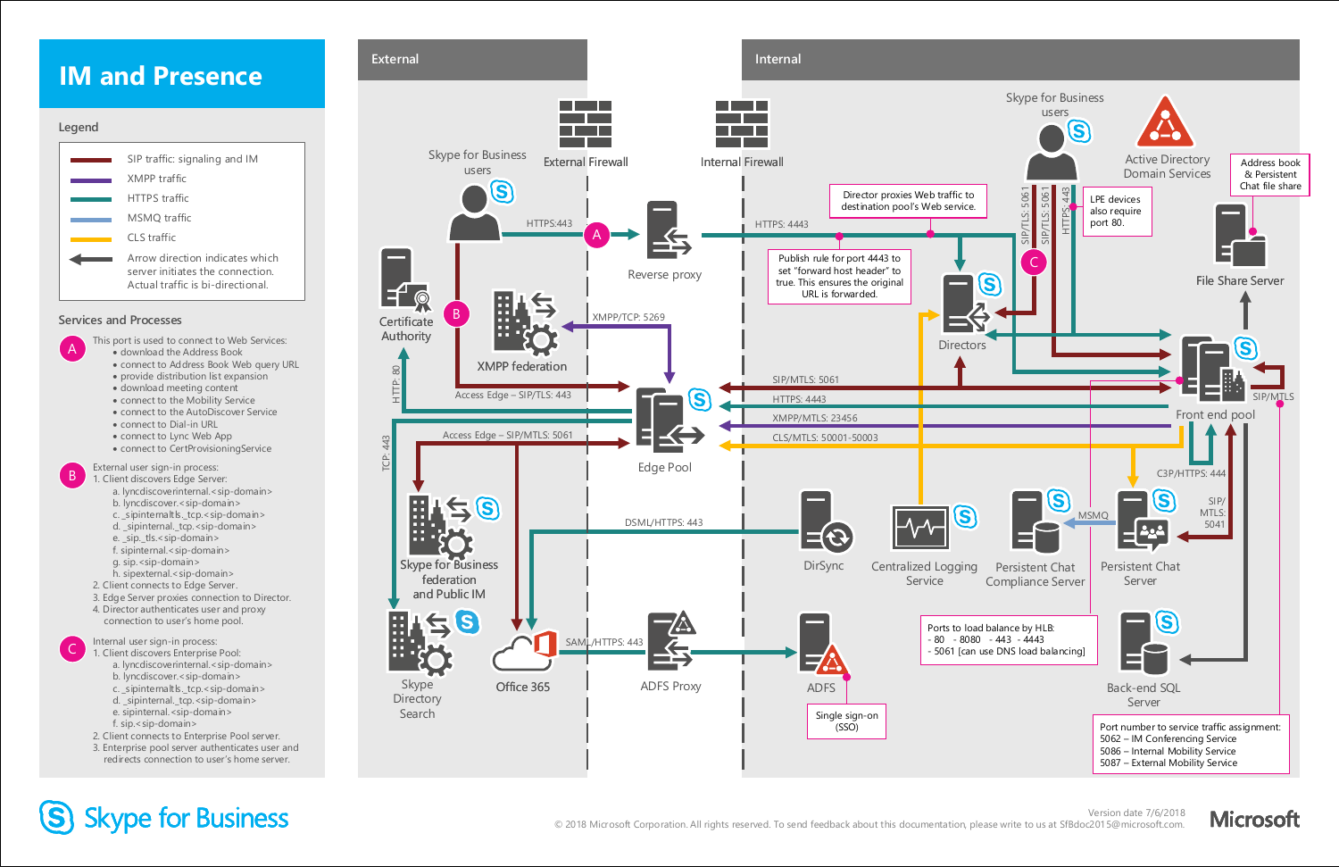

### **IM and Presence**

- a. lyncdiscoverinternal.<sip-domain>
- b. lyncdiscover.<sip-domain>
- 
- c. \_sipinternaltls.\_tcp.<sip-domain>
- d. \_sipinternal.\_tcp.<sip-domain>
- e. \_sip.\_tls.<sip-domain>
- f. sipinternal.<sip-domain>
- g. sip.<sip-domain>
- h. sipexternal.<sip-domain>
- 2. Client connects to Edge Server.
- 3. Edge Server proxies connection to Director.
- 4. Director authenticates user and proxy connection to user's home pool.

#### Internal user sign-in process:

- 1. Client discovers Enterprise Pool: C
	- a. lyncdiscoverinternal.<sip-domain>
	- b. lyncdiscover.<sip-domain>
	- c. \_sipinternaltls.\_tcp.<sip-domain>
	- d. \_sipinternal.\_tcp.<sip-domain>
	- e. sipinternal.<sip-domain>
	- f. sip.<sip-domain>
	- 2. Client connects to Enterprise Pool server.
	- 3. Enterprise pool server authenticates user and redirects connection to user's home server.

This port is used to connect to Web Services:

#### External user sign-in process: 1. Client discovers Edge Server: B



### S Skype for Business

- download the Address Book
- connect to Address Book Web query URL
- provide distribution list expansion
- download meeting content
- connect to the Mobility Service
- connect to the AutoDiscover Service
- connect to Dial-in URL
- connect to Lync Web App
- connect to CertProvisioningService

#### **Legend**



A

#### **Services and Processes**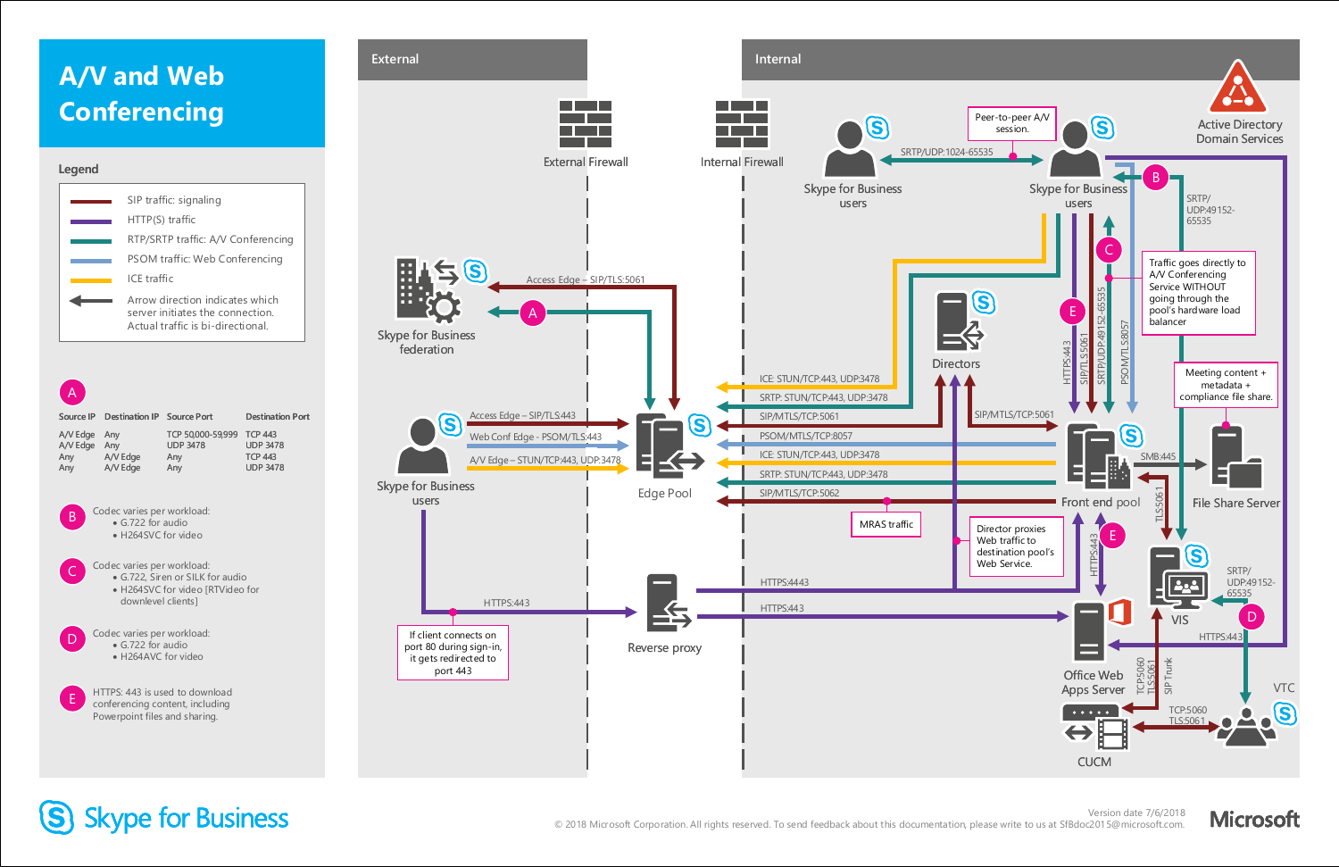### **A/V and Web Conferencing**

#### **Legend**







### S Skype for Business



conferencing content, including Powerpoint files and sharing.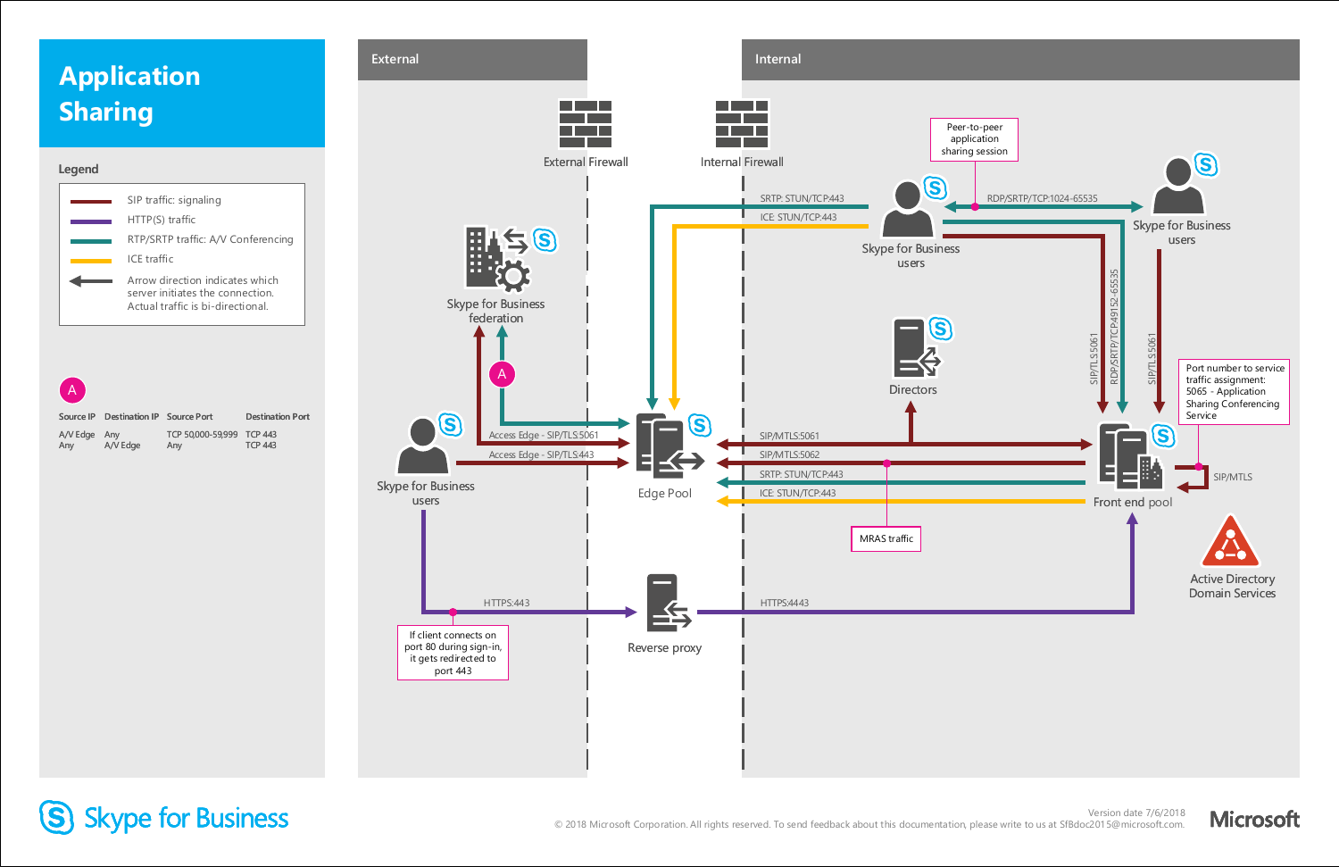### **Application Sharing**



Any

**Source IP** A/V Edge **Destination IP Source Port** Any A/V Edge TCP 50,000-59,999 TCP 443 Any **Destination Port** TCP 443

#### **Legend**



### S Skype for Business

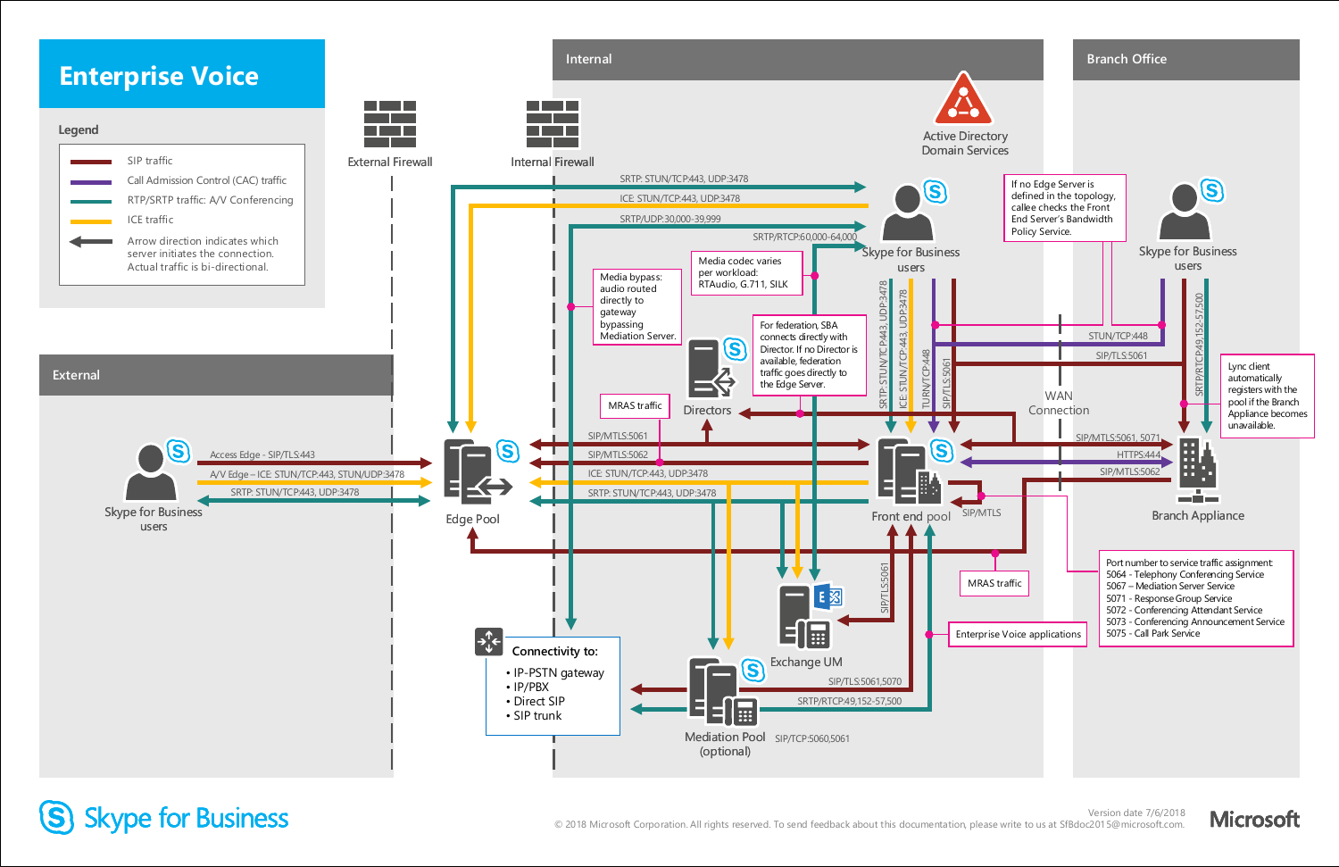

### (S) Skype for Business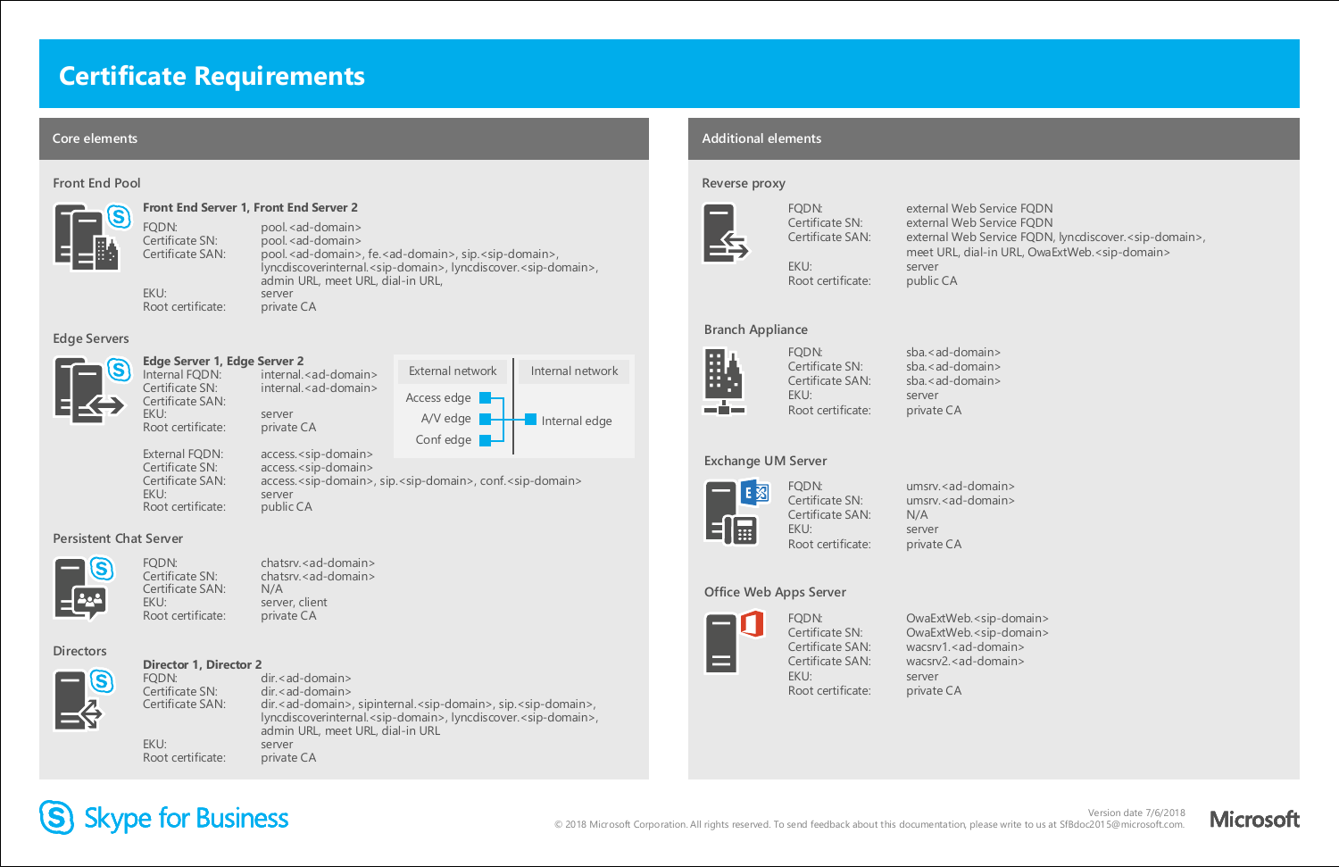### **Certificate Requirements**

#### **Core elements Additional elements**

#### **Exchange UM Server**



FQDN: umsrv.<ad-domain> Certificate SN: umsrv.<ad-domain> Certificate SAN: N/A EKU: server Root certificate: private CA

**Branch Appliance** 



FODN: sba.<ad-domain> Certificate SN: sba.<ad-domain> Certificate SAN: sba.<ad-domain> EKU: server Root certificate: private CA

External FQDN: access.<sip-domain> Certificate SN: access.<sip-domain> Certificate SAN: access.<sip-domain>, sip.<sip-domain>, conf.<sip-domain>

### **Edge Server 1, Edge Server 2**

internal.<ad-domain> Certificate SN: internal.<ad-domain> Certificate SAN: EKU: server Root certificate: private CA

#### **Edge Servers**



### **Front End Server 1, Front End Server 2**

FQDN: pool.<ad-domain> Certificate SN: pool. < ad-domain> Certificate SAN: pool.<ad-domain>, fe.<ad-domain>, sip.<sip-domain>, lyncdiscoverinternal.<sip-domain>, lyncdiscover.<sip-domain>, admin URL, meet URL, dial-in URL, EKU: server Root certificate: private CA

Certificate SAN: external Web Service FQDN, lyncdiscover.<sip-domain>, meet URL, dial-in URL, OwaExtWeb.<sip-domain>

Certificate SN: OwaExtWeb.<sip-domain> Certificate SAN: wacsrv1.<ad-domain> Certificate SAN: wacsrv2.<ad-domain> EKU: server Root certificate: private CA

# S Skype for Business

#### **Front End Pool**



**Directors**

# S

#### **Director 1, Director 2**

FQDN: dir.<ad-domain> Certificate SN: dir.<ad-domain> Certificate SAN: dir.<ad-domain>, sipinternal.<sip-domain>, sip.<sip-domain>, lyncdiscoverinternal.<sip-domain>, lyncdiscover.<sip-domain>, admin URL, meet URL, dial-in URL EKU: server Root certificate: private CA

#### **Reverse proxy**



FQDN: external Web Service FQDN Certificate SN: external Web Service FQDN

EKU: server Root certificate: public CA

#### **Office Web Apps Server**



FQDN: OwaExtWeb.<sip-domain>

#### **Persistent Chat Server**



FODN: chatsry.<ad-domain> Certificate SN: chatsrv.<ad-domain> Certificate SAN: N/A EKU: server, client Root certificate: private CA



EKU: server Root certificate: public CA

Version date 7/6/2018

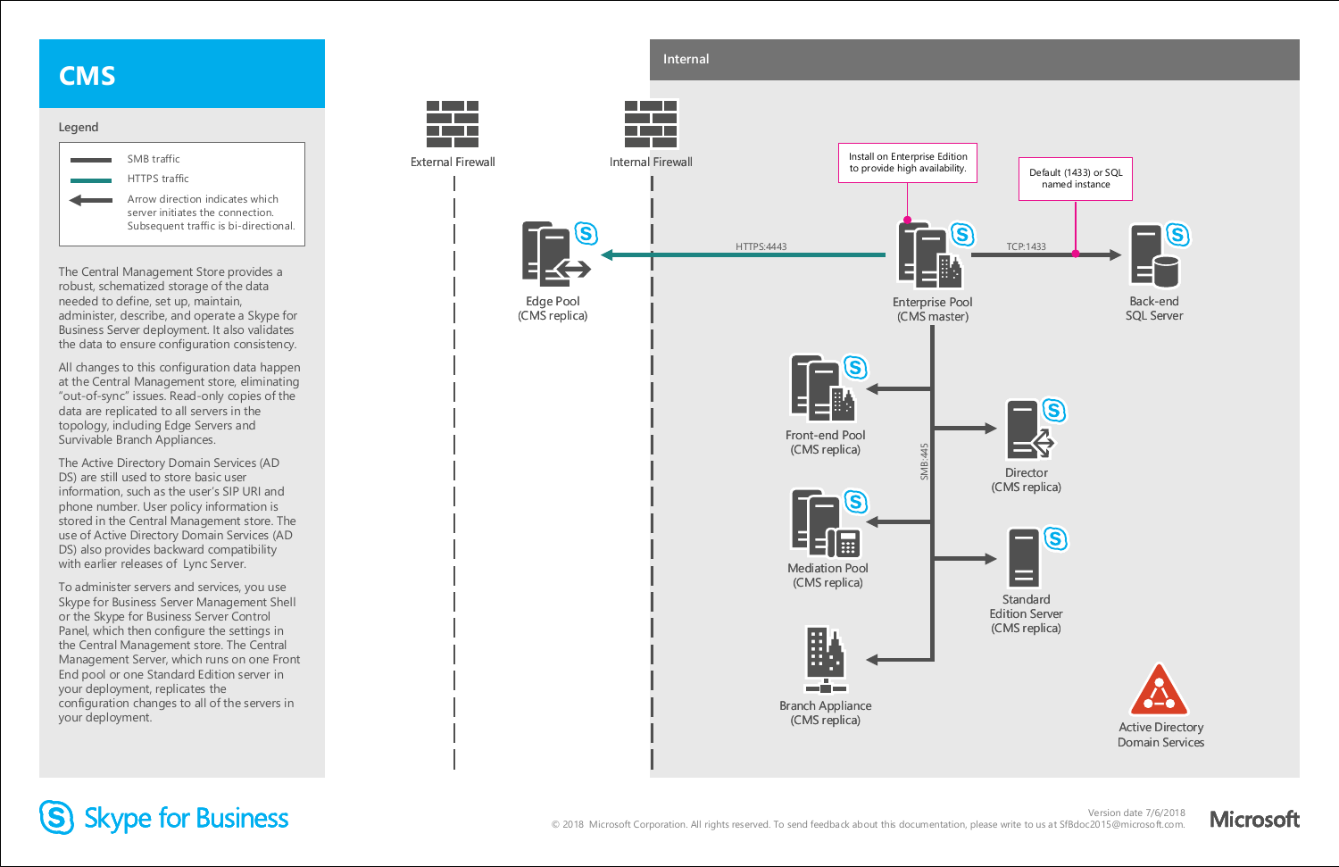### **CMS**



The Central Management Store provides a robust, schematized storage of the data needed to define, set up, maintain, administer, describe, and operate a Skype for Business Server deployment. It also validates the data to ensure configuration consistency.

All changes to this configuration data happen at the Central Management store, eliminating "out-of-sync" issues. Read-only copies of the data are replicated to all servers in the topology, including Edge Servers and Survivable Branch Appliances.



## S Skype for Business

The Active Directory Domain Services (AD DS) are still used to store basic user information, such as the user's SIP URI and phone number. User policy information is stored in the Central Management store. The use of Active Directory Domain Services (AD DS) also provides backward compatibility with earlier releases of Lync Server.

To administer servers and services, you use Skype for Business Server Management Shell or the Skype for Business Server Control Panel, which then configure the settings in the Central Management store. The Central Management Server, which runs on one Front End pool or one Standard Edition server in your deployment, replicates the configuration changes to all of the servers in your deployment.

Version date 7/6/2018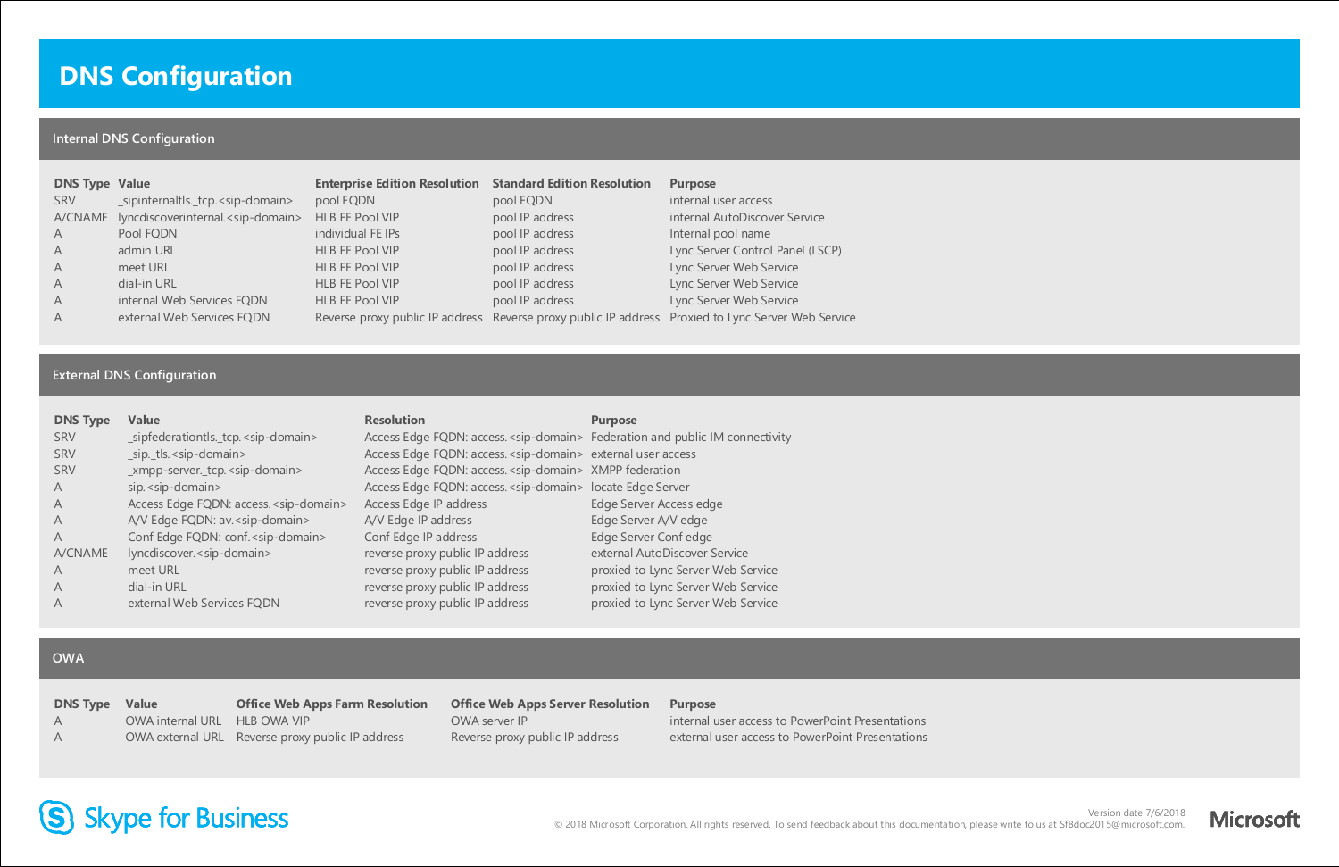### **DNS Configuration**

### **Internal DNS Configuration**

| <b>DNS Type Value</b><br>SRV<br>$\overline{A}$<br>$\overline{A}$<br>A<br>$\overline{A}$<br>$\overline{A}$ | _sipinternaltls._tcp. <sip-domain><br/>A/CNAME lyncdiscoverinternal.<sip-domain><br/>Pool FQDN<br/>admin URL<br/>meet URL<br/>dial-in URL<br/>internal Web Services FQDN</sip-domain></sip-domain> | <b>Enterprise Edition Resolution Standard Edition Resolution</b><br>pool FQDN<br>HLB FE Pool VIP<br>individual FE IPs<br>HLB FE Pool VIP<br>HLB FE Pool VIP<br>HLB FE Pool VIP<br>HLB FE Pool VIP | pool FQDN<br>pool IP address<br>pool IP address<br>pool IP address<br>pool IP address<br>pool IP address<br>pool IP address | <b>Purpose</b><br>internal user access<br>internal AutoDiscover Service<br>Internal pool name<br>Lync Server Control Panel (LSCP)<br>Lync Server Web Service<br>Lync Server Web Service<br>Lync Server Web Service |
|-----------------------------------------------------------------------------------------------------------|----------------------------------------------------------------------------------------------------------------------------------------------------------------------------------------------------|---------------------------------------------------------------------------------------------------------------------------------------------------------------------------------------------------|-----------------------------------------------------------------------------------------------------------------------------|--------------------------------------------------------------------------------------------------------------------------------------------------------------------------------------------------------------------|
| $\overline{A}$                                                                                            | external Web Services FQDN                                                                                                                                                                         |                                                                                                                                                                                                   |                                                                                                                             | Reverse proxy public IP address Reverse proxy public IP address Proxied to Lync Server Web Service                                                                                                                 |

### **External DNS Configuration**

| <b>DNS Type</b> | <b>Value</b>                                      | <b>Resolution</b>                                                             | <b>Purpose</b>                     |
|-----------------|---------------------------------------------------|-------------------------------------------------------------------------------|------------------------------------|
| <b>SRV</b>      | _sipfederationtls._tcp. <sip-domain></sip-domain> | Access Edge FQDN: access. < sip-domain> Federation and public IM connectivity |                                    |
| <b>SRV</b>      | _sip._tls. < sip-domain>                          | Access Edge FQDN: access. < sip-domain> external user access                  |                                    |
| <b>SRV</b>      | _xmpp-server._tcp. <sip-domain></sip-domain>      | Access Edge FQDN: access. < sip-domain> XMPP federation                       |                                    |
| $\overline{A}$  | sip. <sip-domain></sip-domain>                    | Access Edge FQDN: access. < sip-domain> locate Edge Server                    |                                    |
| A               | Access Edge FQDN: access. < sip-domain>           | Access Edge IP address                                                        | Edge Server Access edge            |
| A               | A/V Edge FQDN: av. <sip-domain></sip-domain>      | A/V Edge IP address                                                           | Edge Server A/V edge               |
| A               | Conf Edge FQDN: conf. <sip-domain></sip-domain>   | Conf Edge IP address                                                          | Edge Server Confedge               |
| A/CNAME         | lyncdiscover. <sip-domain></sip-domain>           | reverse proxy public IP address                                               | external AutoDiscover Service      |
| $\overline{A}$  | meet URL                                          | reverse proxy public IP address                                               | proxied to Lync Server Web Service |
| A               | dial-in URL                                       | reverse proxy public IP address                                               | proxied to Lync Server Web Service |
| A               | external Web Services FQDN                        | reverse proxy public IP address                                               | proxied to Lync Server Web Service |

#### **OWA**

| <b>DNS Type Value</b> |                              | <b>Office Web Apps Farm Resolution</b>           | <b>Office Web Apps Server Resolution</b> | <b>Purpose</b>                                   |
|-----------------------|------------------------------|--------------------------------------------------|------------------------------------------|--------------------------------------------------|
| AA                    | OWA internal URL HLB OWA VIP |                                                  | OWA server IP                            | internal user access to PowerPoint Presentations |
| $\overline{A}$        |                              | OWA external URL Reverse proxy public IP address | Reverse proxy public IP address          | external user access to PowerPoint Presentations |

# S Skype for Business

Version date 7/6/2018